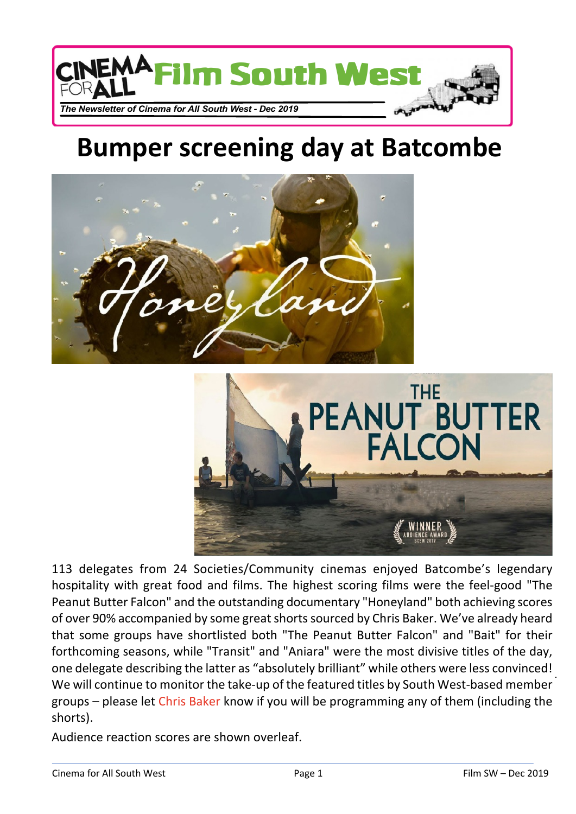

## **Bumper screening day at Batcombe**





113 delegates from 24 Societies/Community cinemas enjoyed Batcombe's legendary hospitality with great food and films. The highest scoring films were the feel-good "The Peanut Butter Falcon" and the outstanding documentary "Honeyland" both achieving scores of over 90% accompanied by some great shorts sourced by Chris Baker. We've already heard that some groups have shortlisted both "The Peanut Butter Falcon" and "Bait" for their forthcoming seasons, while "Transit" and "Aniara" were the most divisive titles of the day, one delegate describing the latter as "absolutely brilliant" while others were less convinced! We will continue to monitor the take-up of the featured titles by South West-based member groups – please let [Chris Baker](mailto:cfaswgtreasurer@gmx.co.uk) know if you will be programming any of them (including the shorts).

Audience reaction scores are shown overleaf.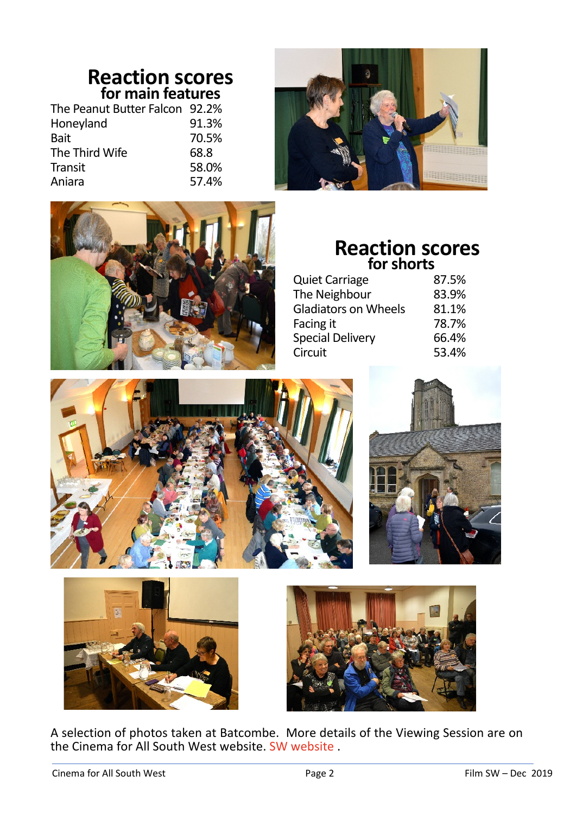## **Reaction scores for main features**

| The Peanut Butter Falcon 92.2% |       |
|--------------------------------|-------|
| Honeyland                      | 91.3% |
| <b>Bait</b>                    | 70.5% |
| The Third Wife                 | 68.8  |
| Transit                        | 58.0% |
| Aniara                         | 57.4% |





## **Reaction scores for shorts**

| <b>Quiet Carriage</b>       | 87.5% |
|-----------------------------|-------|
| The Neighbour               | 83.9% |
| <b>Gladiators on Wheels</b> | 81.1% |
| Facing it                   | 78.7% |
| <b>Special Delivery</b>     | 66.4% |
| Circuit                     | 53.4% |









A selection of photos taken at Batcombe. More details of the Viewing Session are on the Cinema for All South West website. [SW website](http://cinemaforallsw.org) .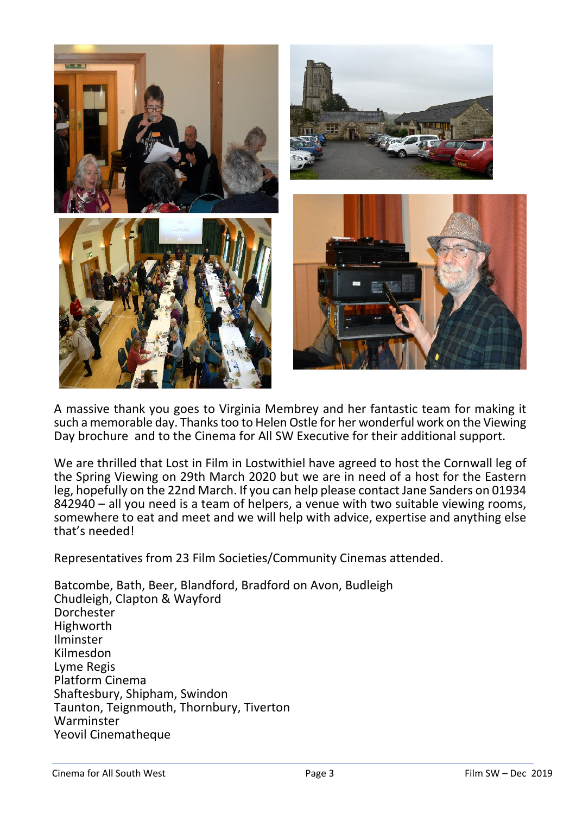

A massive thank you goes to Virginia Membrey and her fantastic team for making it such a memorable day. Thanks too to Helen Ostle for her wonderful work on the Viewing Day brochure and to the Cinema for All SW Executive for their additional support.

We are thrilled that Lost in Film in Lostwithiel have agreed to host the Cornwall leg of the Spring Viewing on 29th March 2020 but we are in need of a host for the Eastern leg, hopefully on the 22nd March. If you can help please contact Jane Sanders on 01934 842940 – all you need is a team of helpers, a venue with two suitable viewing rooms, somewhere to eat and meet and we will help with advice, expertise and anything else that's needed!

Representatives from 23 Film Societies/Community Cinemas attended.

Batcombe, Bath, Beer, Blandford, Bradford on Avon, Budleigh Chudleigh, Clapton & Wayford Dorchester Highworth Ilminster Kilmesdon Lyme Regis Platform Cinema Shaftesbury, Shipham, Swindon Taunton, Teignmouth, Thornbury, Tiverton Warminster Yeovil Cinematheque